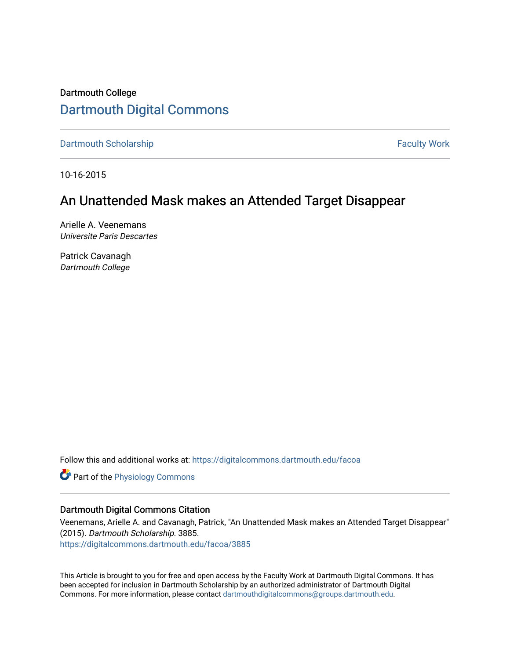Dartmouth College [Dartmouth Digital Commons](https://digitalcommons.dartmouth.edu/) 

[Dartmouth Scholarship](https://digitalcommons.dartmouth.edu/facoa) Faculty Work

10-16-2015

### An Unattended Mask makes an Attended Target Disappear

Arielle A. Veenemans Universite Paris Descartes

Patrick Cavanagh Dartmouth College

Follow this and additional works at: [https://digitalcommons.dartmouth.edu/facoa](https://digitalcommons.dartmouth.edu/facoa?utm_source=digitalcommons.dartmouth.edu%2Ffacoa%2F3885&utm_medium=PDF&utm_campaign=PDFCoverPages)

**Part of the [Physiology Commons](http://network.bepress.com/hgg/discipline/69?utm_source=digitalcommons.dartmouth.edu%2Ffacoa%2F3885&utm_medium=PDF&utm_campaign=PDFCoverPages)** 

### Dartmouth Digital Commons Citation

Veenemans, Arielle A. and Cavanagh, Patrick, "An Unattended Mask makes an Attended Target Disappear" (2015). Dartmouth Scholarship. 3885.

[https://digitalcommons.dartmouth.edu/facoa/3885](https://digitalcommons.dartmouth.edu/facoa/3885?utm_source=digitalcommons.dartmouth.edu%2Ffacoa%2F3885&utm_medium=PDF&utm_campaign=PDFCoverPages) 

This Article is brought to you for free and open access by the Faculty Work at Dartmouth Digital Commons. It has been accepted for inclusion in Dartmouth Scholarship by an authorized administrator of Dartmouth Digital Commons. For more information, please contact [dartmouthdigitalcommons@groups.dartmouth.edu](mailto:dartmouthdigitalcommons@groups.dartmouth.edu).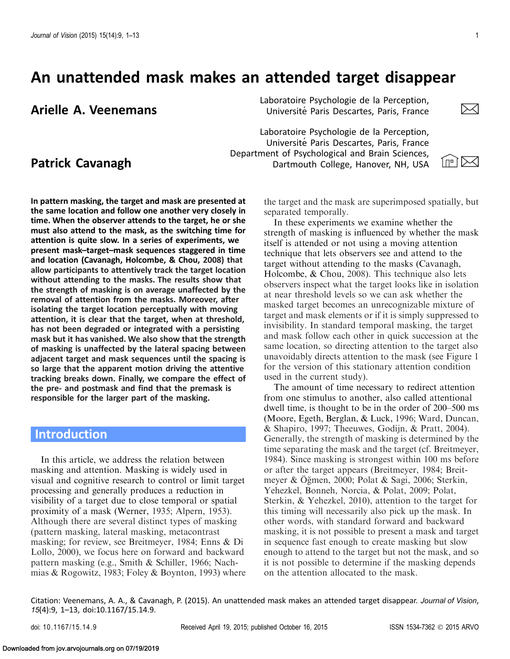# An unattended mask makes an attended target disappear

 $\mathsf{A}$ rielle A. Veenemans  $\mathsf{A}$  Laboratoire Psychologie de la Perception,  $\mathsf{A}$ Université Paris Descartes, Paris, France

Department or Psychological and Brain Sciences,<br>Dartmouth College, Hanover, NH, USA In Department of Psychological and Brain Sciences, Laboratoire Psychologie de la Perception, Université Paris Descartes, Paris, France Department of Psychological and Brain Sciences,



In pattern masking, the target and mask are presented at the same location and follow one another very closely in time. When the observer attends to the target, he or she must also attend to the mask, as the switching time for attention is quite slow. In a series of experiments, we present mask–target–mask sequences staggered in time and location (Cavanagh, Holcombe, & Chou, [2008\)](#page-12-0) that allow participants to attentively track the target location without attending to the masks. The results show that the strength of masking is on average unaffected by the removal of attention from the masks. Moreover, after isolating the target location perceptually with moving attention, it is clear that the target, when at threshold, has not been degraded or integrated with a persisting mask but it has vanished. We also show that the strength of masking is unaffected by the lateral spacing between adjacent target and mask sequences until the spacing is so large that the apparent motion driving the attentive tracking breaks down. Finally, we compare the effect of the pre- and postmask and find that the premask is responsible for the larger part of the masking.

### Introduction

In this article, we address the relation between masking and attention. Masking is widely used in visual and cognitive research to control or limit target processing and generally produces a reduction in visibility of a target due to close temporal or spatial proximity of a mask (Werner, [1935](#page-13-0); Alpern, [1953](#page-12-0)). Although there are several distinct types of masking (pattern masking, lateral masking, metacontrast masking; for review, see Breitmeyer, [1984](#page-12-0); Enns & Di Lollo, [2000\)](#page-12-0), we focus here on forward and backward pattern masking (e.g., Smith & Schiller, [1966;](#page-13-0) Nachmias & Rogowitz, [1983;](#page-13-0) Foley & Boynton, [1993\)](#page-12-0) where

the target and the mask are superimposed spatially, but separated temporally.

In these experiments we examine whether the strength of masking is influenced by whether the mask itself is attended or not using a moving attention technique that lets observers see and attend to the target without attending to the masks (Cavanagh, Holcombe, & Chou, [2008\)](#page-12-0). This technique also lets observers inspect what the target looks like in isolation at near threshold levels so we can ask whether the masked target becomes an unrecognizable mixture of target and mask elements or if it is simply suppressed to invisibility. In standard temporal masking, the target and mask follow each other in quick succession at the same location, so directing attention to the target also unavoidably directs attention to the mask (see [Figure 1](#page-2-0) for the version of this stationary attention condition used in the current study).

The amount of time necessary to redirect attention from one stimulus to another, also called attentional dwell time, is thought to be in the order of 200–500 ms (Moore, Egeth, Berglan, & Luck, [1996;](#page-12-0) Ward, Duncan, & Shapiro, [1997](#page-13-0); Theeuwes, Godijn, & Pratt, [2004](#page-13-0)). Generally, the strength of masking is determined by the time separating the mask and the target (cf. Breitmeyer, [1984\)](#page-12-0). Since masking is strongest within 100 ms before or after the target appears (Breitmeyer, [1984;](#page-12-0) Breit-meyer & Öğmen, [2000;](#page-12-0) Polat & Sagi, [2006](#page-13-0); Sterkin, Yehezkel, Bonneh, Norcia, & Polat, [2009;](#page-13-0) Polat, Sterkin, & Yehezkel, [2010\)](#page-13-0), attention to the target for this timing will necessarily also pick up the mask. In other words, with standard forward and backward masking, it is not possible to present a mask and target in sequence fast enough to create masking but slow enough to attend to the target but not the mask, and so it is not possible to determine if the masking depends on the attention allocated to the mask.

Citation: Veenemans, A. A., & Cavanagh, P. (2015). An unattended mask makes an attended target disappear. Journal of Vision, 15(4):9, 1–13, doi:10.1167/15.14.9.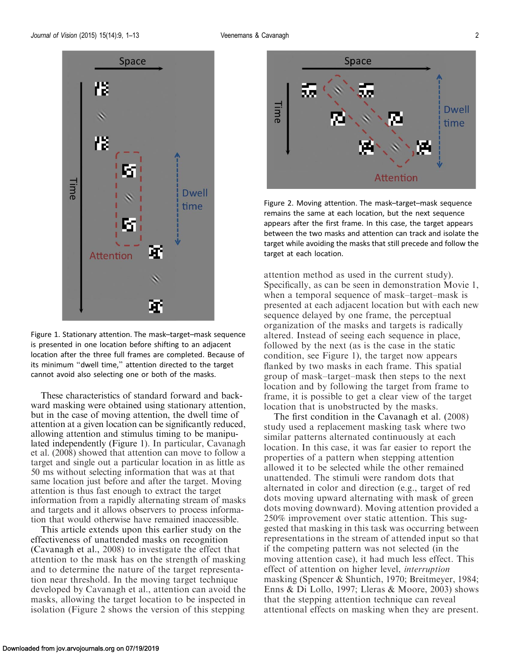<span id="page-2-0"></span>

Figure 1. Stationary attention. The mask–target–mask sequence is presented in one location before shifting to an adjacent location after the three full frames are completed. Because of its minimum ''dwell time,'' attention directed to the target cannot avoid also selecting one or both of the masks.

These characteristics of standard forward and backward masking were obtained using stationary attention, but in the case of moving attention, the dwell time of attention at a given location can be significantly reduced, allowing attention and stimulus timing to be manipulated independently (Figure 1). In particular, Cavanagh et al. [\(2008\)](#page-12-0) showed that attention can move to follow a target and single out a particular location in as little as 50 ms without selecting information that was at that same location just before and after the target. Moving attention is thus fast enough to extract the target information from a rapidly alternating stream of masks and targets and it allows observers to process information that would otherwise have remained inaccessible.

This article extends upon this earlier study on the effectiveness of unattended masks on recognition (Cavanagh et al., [2008\)](#page-12-0) to investigate the effect that attention to the mask has on the strength of masking and to determine the nature of the target representation near threshold. In the moving target technique developed by Cavanagh et al., attention can avoid the masks, allowing the target location to be inspected in isolation (Figure 2 shows the version of this stepping



Figure 2. Moving attention. The mask–target–mask sequence remains the same at each location, but the next sequence appears after the first frame. In this case, the target appears between the two masks and attention can track and isolate the target while avoiding the masks that still precede and follow the target at each location.

attention method as used in the current study). Specifically, as can be seen in demonstration [Movie 1](#page-3-0), when a temporal sequence of mask–target–mask is presented at each adjacent location but with each new sequence delayed by one frame, the perceptual organization of the masks and targets is radically altered. Instead of seeing each sequence in place, followed by the next (as is the case in the static condition, see Figure 1), the target now appears flanked by two masks in each frame. This spatial group of mask–target–mask then steps to the next location and by following the target from frame to frame, it is possible to get a clear view of the target location that is unobstructed by the masks.

The first condition in the Cavanagh et al. ([2008](#page-12-0)) study used a replacement masking task where two similar patterns alternated continuously at each location. In this case, it was far easier to report the properties of a pattern when stepping attention allowed it to be selected while the other remained unattended. The stimuli were random dots that alternated in color and direction (e.g., target of red dots moving upward alternating with mask of green dots moving downward). Moving attention provided a 250% improvement over static attention. This suggested that masking in this task was occurring between representations in the stream of attended input so that if the competing pattern was not selected (in the moving attention case), it had much less effect. This effect of attention on higher level, interruption masking (Spencer & Shuntich, [1970;](#page-13-0) Breitmeyer, [1984](#page-12-0); Enns & Di Lollo, [1997](#page-12-0); Lleras & Moore, [2003](#page-12-0)) shows that the stepping attention technique can reveal attentional effects on masking when they are present.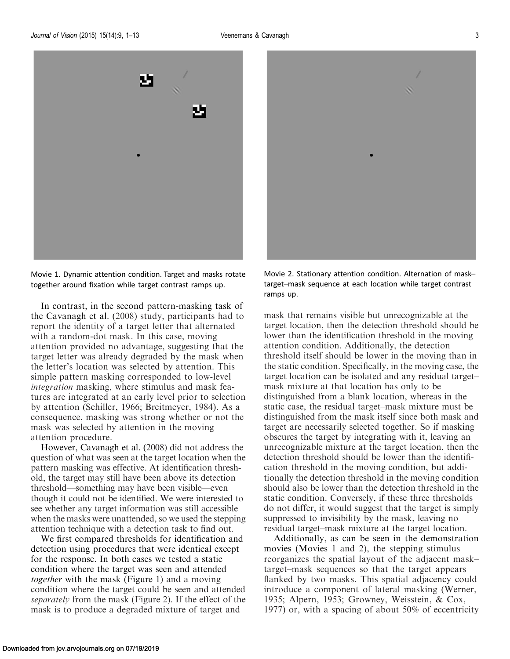<span id="page-3-0"></span>



Movie 1. Dynamic attention condition. Target and masks rotate together around fixation while target contrast ramps up.

In contrast, in the second pattern-masking task of the Cavanagh et al. ([2008](#page-12-0)) study, participants had to report the identity of a target letter that alternated with a random-dot mask. In this case, moving attention provided no advantage, suggesting that the target letter was already degraded by the mask when the letter's location was selected by attention. This simple pattern masking corresponded to low-level integration masking, where stimulus and mask features are integrated at an early level prior to selection by attention (Schiller, [1966;](#page-13-0) Breitmeyer, [1984\)](#page-12-0). As a consequence, masking was strong whether or not the mask was selected by attention in the moving attention procedure.

However, Cavanagh et al. ([2008](#page-12-0)) did not address the question of what was seen at the target location when the pattern masking was effective. At identification threshold, the target may still have been above its detection threshold—something may have been visible—even though it could not be identified. We were interested to see whether any target information was still accessible when the masks were unattended, so we used the stepping attention technique with a detection task to find out.

We first compared thresholds for identification and detection using procedures that were identical except for the response. In both cases we tested a static condition where the target was seen and attended together with the mask ([Figure 1](#page-2-0)) and a moving condition where the target could be seen and attended separately from the mask ([Figure 2](#page-2-0)). If the effect of the mask is to produce a degraded mixture of target and

Movie 2. Stationary attention condition. Alternation of mask– target–mask sequence at each location while target contrast ramps up.

mask that remains visible but unrecognizable at the target location, then the detection threshold should be lower than the identification threshold in the moving attention condition. Additionally, the detection threshold itself should be lower in the moving than in the static condition. Specifically, in the moving case, the target location can be isolated and any residual target– mask mixture at that location has only to be distinguished from a blank location, whereas in the static case, the residual target–mask mixture must be distinguished from the mask itself since both mask and target are necessarily selected together. So if masking obscures the target by integrating with it, leaving an unrecognizable mixture at the target location, then the detection threshold should be lower than the identification threshold in the moving condition, but additionally the detection threshold in the moving condition should also be lower than the detection threshold in the static condition. Conversely, if these three thresholds do not differ, it would suggest that the target is simply suppressed to invisibility by the mask, leaving no residual target–mask mixture at the target location.

Additionally, as can be seen in the demonstration movies (Movies 1 and 2), the stepping stimulus reorganizes the spatial layout of the adjacent mask– target–mask sequences so that the target appears flanked by two masks. This spatial adjacency could introduce a component of lateral masking (Werner, [1935](#page-13-0); Alpern, [1953](#page-12-0); Growney, Weisstein, & Cox, [1977](#page-12-0)) or, with a spacing of about 50% of eccentricity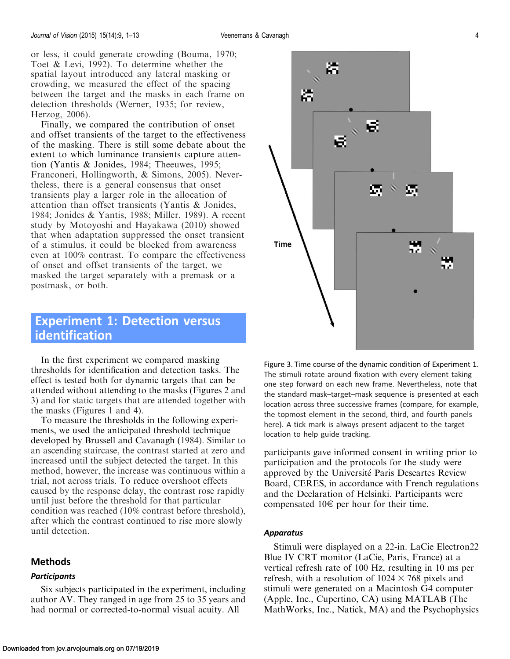<span id="page-4-0"></span>or less, it could generate crowding (Bouma, [1970](#page-12-0); Toet & Levi, [1992](#page-13-0)). To determine whether the spatial layout introduced any lateral masking or crowding, we measured the effect of the spacing between the target and the masks in each frame on detection thresholds (Werner, [1935;](#page-13-0) for review, Herzog, [2006](#page-12-0)).

Finally, we compared the contribution of onset and offset transients of the target to the effectiveness of the masking. There is still some debate about the extent to which luminance transients capture attention (Yantis & Jonides, [1984](#page-13-0); Theeuwes, [1995](#page-13-0); Franconeri, Hollingworth, & Simons, [2005](#page-12-0)). Nevertheless, there is a general consensus that onset transients play a larger role in the allocation of attention than offset transients (Yantis & Jonides, [1984](#page-13-0); Jonides & Yantis, [1988](#page-12-0); Miller, [1989](#page-12-0)). A recent study by Motoyoshi and Hayakawa ([2010](#page-12-0)) showed that when adaptation suppressed the onset transient of a stimulus, it could be blocked from awareness even at 100% contrast. To compare the effectiveness of onset and offset transients of the target, we masked the target separately with a premask or a postmask, or both.

### Experiment 1: Detection versus identification

In the first experiment we compared masking thresholds for identification and detection tasks. The effect is tested both for dynamic targets that can be attended without attending to the masks [\(Figures 2](#page-2-0) and 3) and for static targets that are attended together with the masks [\(Figures 1](#page-2-0) and [4\)](#page-5-0).

To measure the thresholds in the following experiments, we used the anticipated threshold technique developed by Brussell and Cavanagh ([1984\)](#page-12-0). Similar to an ascending staircase, the contrast started at zero and increased until the subject detected the target. In this method, however, the increase was continuous within a trial, not across trials. To reduce overshoot effects caused by the response delay, the contrast rose rapidly until just before the threshold for that particular condition was reached (10% contrast before threshold), after which the contrast continued to rise more slowly until detection.

### Methods

### **Participants**

Six subjects participated in the experiment, including author AV. They ranged in age from 25 to 35 years and had normal or corrected-to-normal visual acuity. All



Figure 3. Time course of the dynamic condition of Experiment 1. The stimuli rotate around fixation with every element taking one step forward on each new frame. Nevertheless, note that the standard mask–target–mask sequence is presented at each location across three successive frames (compare, for example, the topmost element in the second, third, and fourth panels here). A tick mark is always present adjacent to the target location to help guide tracking.

participants gave informed consent in writing prior to participation and the protocols for the study were approved by the Université Paris Descartes Review Board, CERES, in accordance with French regulations and the Declaration of Helsinki. Participants were compensated  $10 \in \text{per hour}$  for their time.

#### Apparatus

Stimuli were displayed on a 22-in. LaCie Electron22 Blue IV CRT monitor (LaCie, Paris, France) at a vertical refresh rate of 100 Hz, resulting in 10 ms per refresh, with a resolution of  $1024 \times 768$  pixels and stimuli were generated on a Macintosh G4 computer (Apple, Inc., Cupertino, CA) using MATLAB (The MathWorks, Inc., Natick, MA) and the Psychophysics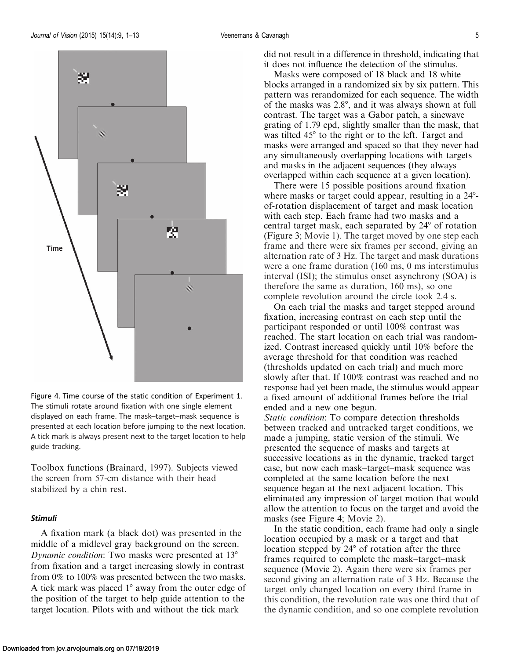<span id="page-5-0"></span>

Figure 4. Time course of the static condition of [Experiment 1.](#page-4-0) The stimuli rotate around fixation with one single element displayed on each frame. The mask–target–mask sequence is presented at each location before jumping to the next location. A tick mark is always present next to the target location to help guide tracking.

Toolbox functions (Brainard, [1997\)](#page-12-0). Subjects viewed the screen from 57-cm distance with their head stabilized by a chin rest.

### Stimuli

A fixation mark (a black dot) was presented in the middle of a midlevel gray background on the screen. Dynamic condition: Two masks were presented at  $13^{\circ}$ from fixation and a target increasing slowly in contrast from 0% to 100% was presented between the two masks. A tick mark was placed  $1^{\circ}$  away from the outer edge of the position of the target to help guide attention to the target location. Pilots with and without the tick mark

did not result in a difference in threshold, indicating that it does not influence the detection of the stimulus.

Masks were composed of 18 black and 18 white blocks arranged in a randomized six by six pattern. This pattern was rerandomized for each sequence. The width of the masks was  $2.8^\circ$ , and it was always shown at full contrast. The target was a Gabor patch, a sinewave grating of 1.79 cpd, slightly smaller than the mask, that was tilted  $45^{\circ}$  to the right or to the left. Target and masks were arranged and spaced so that they never had any simultaneously overlapping locations with targets and masks in the adjacent sequences (they always overlapped within each sequence at a given location).

There were 15 possible positions around fixation where masks or target could appear, resulting in a  $24^{\circ}$ of-rotation displacement of target and mask location with each step. Each frame had two masks and a central target mask, each separated by  $24^{\circ}$  of rotation ([Figure 3;](#page-4-0) [Movie 1\)](#page-3-0). The target moved by one step each frame and there were six frames per second, giving an alternation rate of 3 Hz. The target and mask durations were a one frame duration (160 ms, 0 ms interstimulus interval (ISI); the stimulus onset asynchrony (SOA) is therefore the same as duration, 160 ms), so one complete revolution around the circle took 2.4 s.

On each trial the masks and target stepped around fixation, increasing contrast on each step until the participant responded or until 100% contrast was reached. The start location on each trial was randomized. Contrast increased quickly until 10% before the average threshold for that condition was reached (thresholds updated on each trial) and much more slowly after that. If 100% contrast was reached and no response had yet been made, the stimulus would appear a fixed amount of additional frames before the trial ended and a new one begun. Static condition: To compare detection thresholds between tracked and untracked target conditions, we made a jumping, static version of the stimuli. We presented the sequence of masks and targets at successive locations as in the dynamic, tracked target case, but now each mask–target–mask sequence was completed at the same location before the next

sequence began at the next adjacent location. This eliminated any impression of target motion that would allow the attention to focus on the target and avoid the masks (see Figure 4; [Movie 2](#page-3-0)).

In the static condition, each frame had only a single location occupied by a mask or a target and that location stepped by  $24^{\circ}$  of rotation after the three frames required to complete the mask–target–mask sequence ([Movie 2\)](#page-3-0). Again there were six frames per second giving an alternation rate of 3 Hz. Because the target only changed location on every third frame in this condition, the revolution rate was one third that of the dynamic condition, and so one complete revolution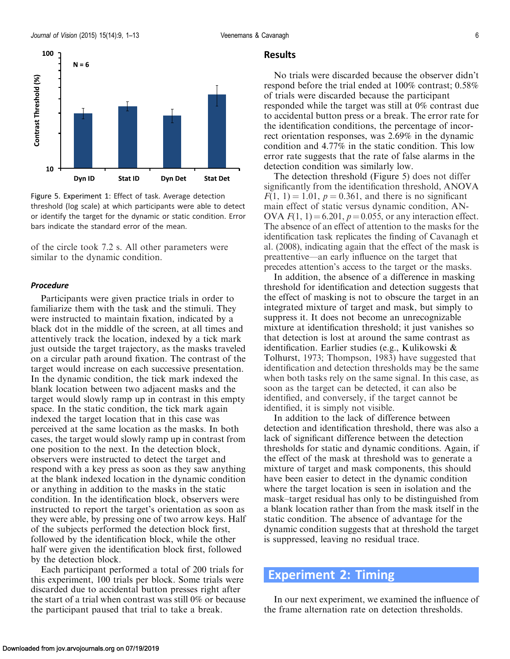<span id="page-6-0"></span>



of the circle took 7.2 s. All other parameters were similar to the dynamic condition.

#### Procedure

Participants were given practice trials in order to familiarize them with the task and the stimuli. They were instructed to maintain fixation, indicated by a black dot in the middle of the screen, at all times and attentively track the location, indexed by a tick mark just outside the target trajectory, as the masks traveled on a circular path around fixation. The contrast of the target would increase on each successive presentation. In the dynamic condition, the tick mark indexed the blank location between two adjacent masks and the target would slowly ramp up in contrast in this empty space. In the static condition, the tick mark again indexed the target location that in this case was perceived at the same location as the masks. In both cases, the target would slowly ramp up in contrast from one position to the next. In the detection block, observers were instructed to detect the target and respond with a key press as soon as they saw anything at the blank indexed location in the dynamic condition or anything in addition to the masks in the static condition. In the identification block, observers were instructed to report the target's orientation as soon as they were able, by pressing one of two arrow keys. Half of the subjects performed the detection block first, followed by the identification block, while the other half were given the identification block first, followed by the detection block.

Each participant performed a total of 200 trials for this experiment, 100 trials per block. Some trials were discarded due to accidental button presses right after the start of a trial when contrast was still 0% or because the participant paused that trial to take a break.

### Results

No trials were discarded because the observer didn't respond before the trial ended at 100% contrast; 0.58% of trials were discarded because the participant responded while the target was still at 0% contrast due to accidental button press or a break. The error rate for the identification conditions, the percentage of incorrect orientation responses, was 2.69% in the dynamic condition and 4.77% in the static condition. This low error rate suggests that the rate of false alarms in the detection condition was similarly low.

The detection threshold (Figure 5) does not differ significantly from the identification threshold, ANOVA  $F(1, 1) = 1.01, p = 0.361$ , and there is no significant main effect of static versus dynamic condition, AN-OVA  $F(1, 1) = 6.201$ ,  $p = 0.055$ , or any interaction effect. The absence of an effect of attention to the masks for the identification task replicates the finding of Cavanagh et al. [\(2008](#page-12-0)), indicating again that the effect of the mask is preattentive—an early influence on the target that precedes attention's access to the target or the masks.

In addition, the absence of a difference in masking threshold for identification and detection suggests that the effect of masking is not to obscure the target in an integrated mixture of target and mask, but simply to suppress it. It does not become an unrecognizable mixture at identification threshold; it just vanishes so that detection is lost at around the same contrast as identification. Earlier studies (e.g., Kulikowski & Tolhurst, [1973;](#page-12-0) Thompson, [1983\)](#page-13-0) have suggested that identification and detection thresholds may be the same when both tasks rely on the same signal. In this case, as soon as the target can be detected, it can also be identified, and conversely, if the target cannot be identified, it is simply not visible.

In addition to the lack of difference between detection and identification threshold, there was also a lack of significant difference between the detection thresholds for static and dynamic conditions. Again, if the effect of the mask at threshold was to generate a mixture of target and mask components, this should have been easier to detect in the dynamic condition where the target location is seen in isolation and the mask–target residual has only to be distinguished from a blank location rather than from the mask itself in the static condition. The absence of advantage for the dynamic condition suggests that at threshold the target is suppressed, leaving no residual trace.

### Experiment 2: Timing

In our next experiment, we examined the influence of the frame alternation rate on detection thresholds.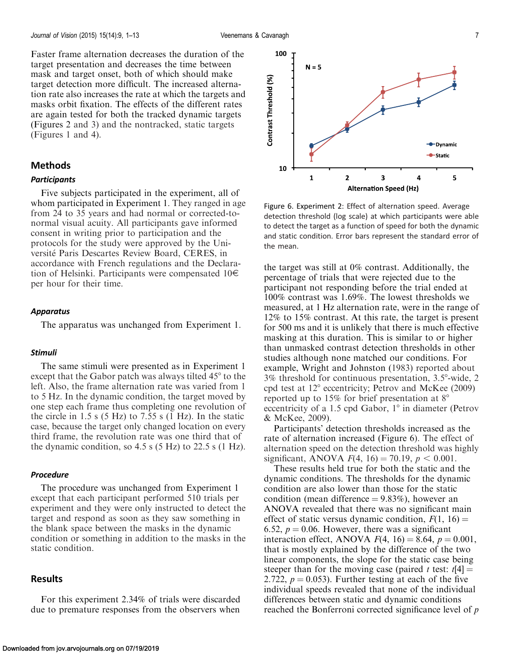Faster frame alternation decreases the duration of the target presentation and decreases the time between mask and target onset, both of which should make target detection more difficult. The increased alternation rate also increases the rate at which the targets and masks orbit fixation. The effects of the different rates are again tested for both the tracked dynamic targets ([Figures 2](#page-2-0) and [3](#page-4-0)) and the nontracked, static targets ([Figures 1](#page-2-0) and [4](#page-5-0)).

### Methods

### **Participants**

Five subjects participated in the experiment, all of whom participated in [Experiment 1](#page-4-0). They ranged in age from 24 to 35 years and had normal or corrected-tonormal visual acuity. All participants gave informed consent in writing prior to participation and the protocols for the study were approved by the Université Paris Descartes Review Board, CERES, in accordance with French regulations and the Declaration of Helsinki. Participants were compensated  $10 \in$ per hour for their time.

### Apparatus

The apparatus was unchanged from [Experiment 1.](#page-4-0)

### Stimuli

The same stimuli were presented as in [Experiment 1](#page-4-0) except that the Gabor patch was always tilted  $45^{\circ}$  to the left. Also, the frame alternation rate was varied from 1 to 5 Hz. In the dynamic condition, the target moved by one step each frame thus completing one revolution of the circle in 1.5 s  $(5 \text{ Hz})$  to 7.55 s  $(1 \text{ Hz})$ . In the static case, because the target only changed location on every third frame, the revolution rate was one third that of the dynamic condition, so  $4.5$  s  $(5 \text{ Hz})$  to  $22.5$  s  $(1 \text{ Hz})$ .

#### Procedure

The procedure was unchanged from [Experiment 1](#page-4-0) except that each participant performed 510 trials per experiment and they were only instructed to detect the target and respond as soon as they saw something in the blank space between the masks in the dynamic condition or something in addition to the masks in the static condition.

### **Results**

For this experiment 2.34% of trials were discarded due to premature responses from the observers when



Figure 6. [Experiment 2:](#page-6-0) Effect of alternation speed. Average detection threshold (log scale) at which participants were able to detect the target as a function of speed for both the dynamic and static condition. Error bars represent the standard error of the mean.

the target was still at 0% contrast. Additionally, the percentage of trials that were rejected due to the participant not responding before the trial ended at 100% contrast was 1.69%. The lowest thresholds we measured, at 1 Hz alternation rate, were in the range of 12% to 15% contrast. At this rate, the target is present for 500 ms and it is unlikely that there is much effective masking at this duration. This is similar to or higher than unmasked contrast detection thresholds in other studies although none matched our conditions. For example, Wright and Johnston [\(1983](#page-13-0)) reported about  $3\%$  threshold for continuous presentation,  $3.5^{\circ}$ -wide, 2 cpd test at  $12^{\circ}$  eccentricity; Petrov and McKee [\(2009](#page-13-0)) reported up to 15% for brief presentation at  $8^\circ$ eccentricity of a 1.5 cpd Gabor,  $1^\circ$  in diameter (Petrov & McKee, [2009\)](#page-13-0).

Participants' detection thresholds increased as the rate of alternation increased (Figure 6). The effect of alternation speed on the detection threshold was highly significant, ANOVA  $F(4, 16) = 70.19$ ,  $p < 0.001$ .

These results held true for both the static and the dynamic conditions. The thresholds for the dynamic condition are also lower than those for the static condition (mean difference  $= 9.83\%$ ), however an ANOVA revealed that there was no significant main effect of static versus dynamic condition,  $F(1, 16) =$ 6.52,  $p = 0.06$ . However, there was a significant interaction effect, ANOVA  $F(4, 16) = 8.64$ ,  $p = 0.001$ , that is mostly explained by the difference of the two linear components, the slope for the static case being steeper than for the moving case (paired t test:  $t[4] =$ 2.722,  $p = 0.053$ . Further testing at each of the five individual speeds revealed that none of the individual differences between static and dynamic conditions reached the Bonferroni corrected significance level of p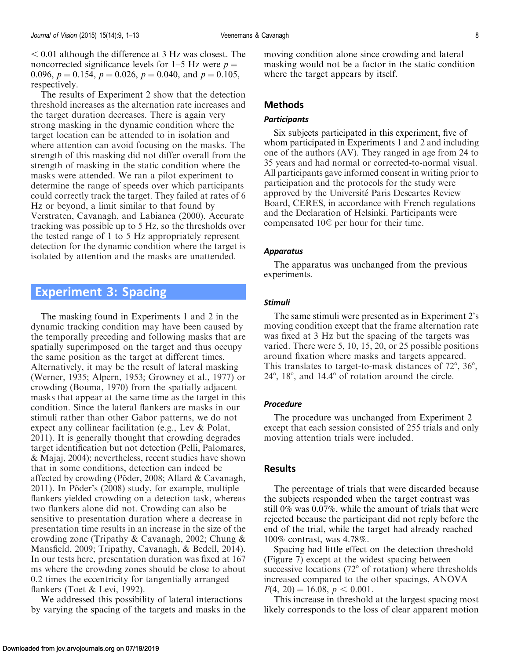<span id="page-8-0"></span> $< 0.01$  although the difference at 3 Hz was closest. The noncorrected significance levels for  $1-5$  Hz were  $p =$ 0.096,  $p = 0.154$ ,  $p = 0.026$ ,  $p = 0.040$ , and  $p = 0.105$ , respectively.

The results of [Experiment 2](#page-6-0) show that the detection threshold increases as the alternation rate increases and the target duration decreases. There is again very strong masking in the dynamic condition where the target location can be attended to in isolation and where attention can avoid focusing on the masks. The strength of this masking did not differ overall from the strength of masking in the static condition where the masks were attended. We ran a pilot experiment to determine the range of speeds over which participants could correctly track the target. They failed at rates of 6 Hz or beyond, a limit similar to that found by Verstraten, Cavanagh, and Labianca ([2000](#page-13-0)). Accurate tracking was possible up to 5 Hz, so the thresholds over the tested range of 1 to 5 Hz appropriately represent detection for the dynamic condition where the target is isolated by attention and the masks are unattended.

### Experiment 3: Spacing

The masking found in [Experiments 1](#page-4-0) and [2](#page-6-0) in the dynamic tracking condition may have been caused by the temporally preceding and following masks that are spatially superimposed on the target and thus occupy the same position as the target at different times, Alternatively, it may be the result of lateral masking (Werner, [1935](#page-13-0); Alpern, [1953;](#page-12-0) Growney et al., [1977](#page-12-0)) or crowding (Bouma, [1970](#page-12-0)) from the spatially adjacent masks that appear at the same time as the target in this condition. Since the lateral flankers are masks in our stimuli rather than other Gabor patterns, we do not expect any collinear facilitation (e.g., Lev & Polat, [2011\)](#page-12-0). It is generally thought that crowding degrades target identification but not detection (Pelli, Palomares, & Majaj, [2004\)](#page-13-0); nevertheless, recent studies have shown that in some conditions, detection can indeed be affected by crowding (Põder, [2008](#page-13-0); Allard  $&$  Cavanagh, [2011\)](#page-12-0). In Põder's ([2008\)](#page-13-0) study, for example, multiple flankers yielded crowding on a detection task, whereas two flankers alone did not. Crowding can also be sensitive to presentation duration where a decrease in presentation time results in an increase in the size of the crowding zone (Tripathy & Cavanagh, [2002](#page-13-0); Chung & Mansfield, [2009;](#page-12-0) Tripathy, Cavanagh, & Bedell, [2014](#page-13-0)). In our tests here, presentation duration was fixed at 167 ms where the crowding zones should be close to about 0.2 times the eccentricity for tangentially arranged flankers (Toet & Levi, [1992\)](#page-13-0).

We addressed this possibility of lateral interactions by varying the spacing of the targets and masks in the moving condition alone since crowding and lateral masking would not be a factor in the static condition where the target appears by itself.

### Methods

### **Participants**

Six subjects participated in this experiment, five of whom participated in [Experiments 1](#page-4-0) and [2](#page-6-0) and including one of the authors (AV). They ranged in age from 24 to 35 years and had normal or corrected-to-normal visual. All participants gave informed consent in writing prior to participation and the protocols for the study were approved by the Université Paris Descartes Review Board, CERES, in accordance with French regulations and the Declaration of Helsinki. Participants were compensated  $10 \in \text{per hour}$  for their time.

### Apparatus

The apparatus was unchanged from the previous experiments.

#### Stimuli

The same stimuli were presented as in [Experiment 2'](#page-6-0)s moving condition except that the frame alternation rate was fixed at 3 Hz but the spacing of the targets was varied. There were 5, 10, 15, 20, or 25 possible positions around fixation where masks and targets appeared. This translates to target-to-mask distances of  $72^{\circ}$ ,  $36^{\circ}$ ,  $24^{\circ}$ , 18°, and 14.4° of rotation around the circle.

#### Procedure

The procedure was unchanged from [Experiment 2](#page-6-0) except that each session consisted of 255 trials and only moving attention trials were included.

### Results

The percentage of trials that were discarded because the subjects responded when the target contrast was still 0% was 0.07%, while the amount of trials that were rejected because the participant did not reply before the end of the trial, while the target had already reached 100% contrast, was 4.78%.

Spacing had little effect on the detection threshold ([Figure 7\)](#page-9-0) except at the widest spacing between successive locations  $(72^{\circ}$  of rotation) where thresholds increased compared to the other spacings, ANOVA  $F(4, 20) = 16.08, p < 0.001.$ 

This increase in threshold at the largest spacing most likely corresponds to the loss of clear apparent motion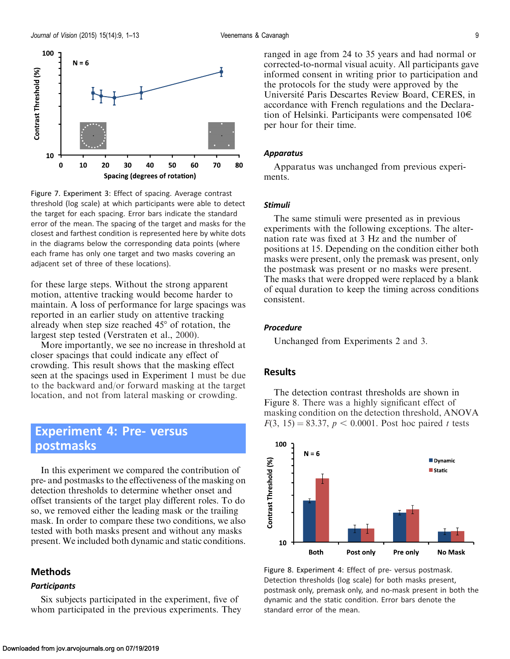<span id="page-9-0"></span>

Figure 7. [Experiment 3:](#page-8-0) Effect of spacing. Average contrast threshold (log scale) at which participants were able to detect the target for each spacing. Error bars indicate the standard error of the mean. The spacing of the target and masks for the closest and farthest condition is represented here by white dots in the diagrams below the corresponding data points (where each frame has only one target and two masks covering an adjacent set of three of these locations).

for these large steps. Without the strong apparent motion, attentive tracking would become harder to maintain. A loss of performance for large spacings was reported in an earlier study on attentive tracking already when step size reached  $45^{\circ}$  of rotation, the largest step tested (Verstraten et al., [2000\)](#page-13-0).

More importantly, we see no increase in threshold at closer spacings that could indicate any effect of crowding. This result shows that the masking effect seen at the spacings used in [Experiment 1](#page-4-0) must be due to the backward and/or forward masking at the target location, and not from lateral masking or crowding.

## Experiment 4: Pre- versus postmasks

In this experiment we compared the contribution of pre- and postmasks to the effectiveness of the masking on detection thresholds to determine whether onset and offset transients of the target play different roles. To do so, we removed either the leading mask or the trailing mask. In order to compare these two conditions, we also tested with both masks present and without any masks present. We included both dynamic and static conditions.

### Methods

### **Participants**

Six subjects participated in the experiment, five of whom participated in the previous experiments. They ranged in age from 24 to 35 years and had normal or corrected-to-normal visual acuity. All participants gave informed consent in writing prior to participation and the protocols for the study were approved by the Université Paris Descartes Review Board, CERES, in accordance with French regulations and the Declaration of Helsinki. Participants were compensated  $10 \in$ per hour for their time.

### Apparatus

Apparatus was unchanged from previous experiments.

### Stimuli

The same stimuli were presented as in previous experiments with the following exceptions. The alternation rate was fixed at 3 Hz and the number of positions at 15. Depending on the condition either both masks were present, only the premask was present, only the postmask was present or no masks were present. The masks that were dropped were replaced by a blank of equal duration to keep the timing across conditions consistent.

#### Procedure

Unchanged from [Experiments 2](#page-6-0) and [3.](#page-8-0)

### Results

The detection contrast thresholds are shown in Figure 8. There was a highly significant effect of masking condition on the detection threshold, ANOVA  $F(3, 15) = 83.37, p < 0.0001$ . Post hoc paired t tests



Figure 8. Experiment 4: Effect of pre- versus postmask. Detection thresholds (log scale) for both masks present, postmask only, premask only, and no-mask present in both the dynamic and the static condition. Error bars denote the standard error of the mean.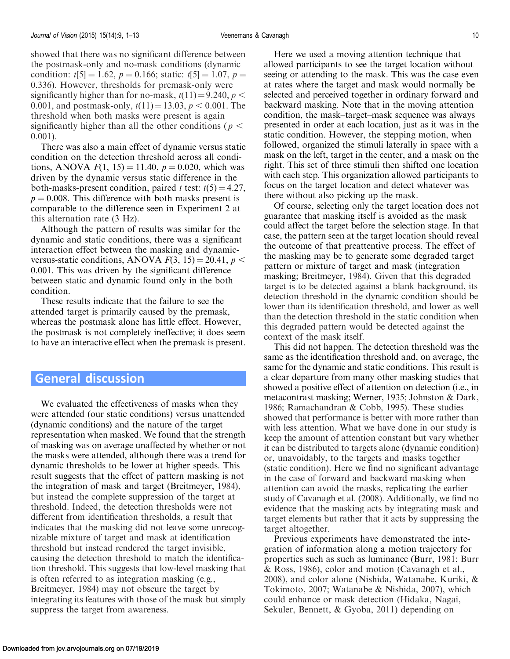showed that there was no significant difference between the postmask-only and no-mask conditions (dynamic condition:  $t[5] = 1.62$ ,  $p = 0.166$ ; static:  $t[5] = 1.07$ ,  $p =$ 0.336). However, thresholds for premask-only were significantly higher than for no-mask,  $t(11) = 9.240$ ,  $p <$ 0.001, and postmask-only,  $t(11) = 13.03$ ,  $p < 0.001$ . The threshold when both masks were present is again significantly higher than all the other conditions ( $p <$ 0.001).

There was also a main effect of dynamic versus static condition on the detection threshold across all conditions, ANOVA  $F(1, 15) = 11.40$ ,  $p = 0.020$ , which was driven by the dynamic versus static difference in the both-masks-present condition, paired t test:  $t(5) = 4.27$ ,  $p = 0.008$ . This difference with both masks present is comparable to the difference seen in [Experiment 2](#page-6-0) at this alternation rate (3 Hz).

Although the pattern of results was similar for the dynamic and static conditions, there was a significant interaction effect between the masking and dynamicversus-static conditions, ANOVA  $F(3, 15) = 20.41$ ,  $p <$ 0.001. This was driven by the significant difference between static and dynamic found only in the both condition.

These results indicate that the failure to see the attended target is primarily caused by the premask, whereas the postmask alone has little effect. However, the postmask is not completely ineffective; it does seem to have an interactive effect when the premask is present.

General discussion

We evaluated the effectiveness of masks when they were attended (our static conditions) versus unattended (dynamic conditions) and the nature of the target representation when masked. We found that the strength of masking was on average unaffected by whether or not the masks were attended, although there was a trend for dynamic thresholds to be lower at higher speeds. This result suggests that the effect of pattern masking is not the integration of mask and target (Breitmeyer, [1984](#page-12-0)), but instead the complete suppression of the target at threshold. Indeed, the detection thresholds were not different from identification thresholds, a result that indicates that the masking did not leave some unrecognizable mixture of target and mask at identification threshold but instead rendered the target invisible, causing the detection threshold to match the identification threshold. This suggests that low-level masking that is often referred to as integration masking (e.g., Breitmeyer, [1984](#page-12-0)) may not obscure the target by integrating its features with those of the mask but simply suppress the target from awareness.

Here we used a moving attention technique that allowed participants to see the target location without seeing or attending to the mask. This was the case even at rates where the target and mask would normally be selected and perceived together in ordinary forward and backward masking. Note that in the moving attention condition, the mask–target–mask sequence was always presented in order at each location, just as it was in the static condition. However, the stepping motion, when followed, organized the stimuli laterally in space with a mask on the left, target in the center, and a mask on the right. This set of three stimuli then shifted one location with each step. This organization allowed participants to focus on the target location and detect whatever was there without also picking up the mask.

Of course, selecting only the target location does not guarantee that masking itself is avoided as the mask could affect the target before the selection stage. In that case, the pattern seen at the target location should reveal the outcome of that preattentive process. The effect of the masking may be to generate some degraded target pattern or mixture of target and mask (integration masking; Breitmeyer, [1984\)](#page-12-0). Given that this degraded target is to be detected against a blank background, its detection threshold in the dynamic condition should be lower than its identification threshold, and lower as well than the detection threshold in the static condition when this degraded pattern would be detected against the context of the mask itself.

This did not happen. The detection threshold was the same as the identification threshold and, on average, the same for the dynamic and static conditions. This result is a clear departure from many other masking studies that showed a positive effect of attention on detection (i.e., in metacontrast masking; Werner, [1935;](#page-13-0) Johnston & Dark, [1986](#page-12-0); Ramachandran & Cobb, [1995](#page-13-0)). These studies showed that performance is better with more rather than with less attention. What we have done in our study is keep the amount of attention constant but vary whether it can be distributed to targets alone (dynamic condition) or, unavoidably, to the targets and masks together (static condition). Here we find no significant advantage in the case of forward and backward masking when attention can avoid the masks, replicating the earlier study of Cavanagh et al. ([2008](#page-12-0)). Additionally, we find no evidence that the masking acts by integrating mask and target elements but rather that it acts by suppressing the target altogether.

Previous experiments have demonstrated the integration of information along a motion trajectory for properties such as such as luminance (Burr, [1981](#page-12-0); Burr & Ross, [1986](#page-12-0)), color and motion (Cavanagh et al., [2008\)](#page-12-0), and color alone (Nishida, Watanabe, Kuriki, & Tokimoto, [2007;](#page-13-0) Watanabe & Nishida, [2007\)](#page-13-0), which could enhance or mask detection (Hidaka, Nagai, Sekuler, Bennett, & Gyoba, [2011\)](#page-12-0) depending on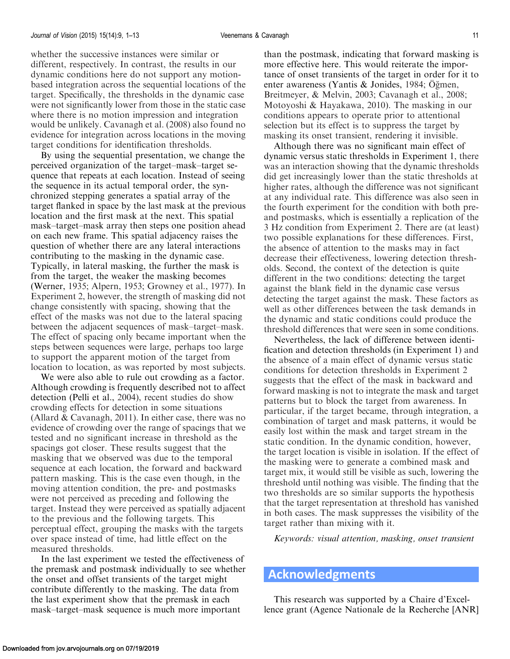whether the successive instances were similar or different, respectively. In contrast, the results in our dynamic conditions here do not support any motionbased integration across the sequential locations of the target. Specifically, the thresholds in the dynamic case were not significantly lower from those in the static case where there is no motion impression and integration would be unlikely. Cavanagh et al. [\(2008](#page-12-0)) also found no evidence for integration across locations in the moving target conditions for identification thresholds.

By using the sequential presentation, we change the perceived organization of the target–mask–target sequence that repeats at each location. Instead of seeing the sequence in its actual temporal order, the synchronized stepping generates a spatial array of the target flanked in space by the last mask at the previous location and the first mask at the next. This spatial mask–target–mask array then steps one position ahead on each new frame. This spatial adjacency raises the question of whether there are any lateral interactions contributing to the masking in the dynamic case. Typically, in lateral masking, the further the mask is from the target, the weaker the masking becomes (Werner, [1935;](#page-13-0) Alpern, [1953;](#page-12-0) Growney et al., [1977\)](#page-12-0). In [Experiment 2](#page-6-0), however, the strength of masking did not change consistently with spacing, showing that the effect of the masks was not due to the lateral spacing between the adjacent sequences of mask–target–mask. The effect of spacing only became important when the steps between sequences were large, perhaps too large to support the apparent motion of the target from location to location, as was reported by most subjects.

We were also able to rule out crowding as a factor. Although crowding is frequently described not to affect detection (Pelli et al., [2004](#page-13-0)), recent studies do show crowding effects for detection in some situations (Allard & Cavanagh, [2011\)](#page-12-0). In either case, there was no evidence of crowding over the range of spacings that we tested and no significant increase in threshold as the spacings got closer. These results suggest that the masking that we observed was due to the temporal sequence at each location, the forward and backward pattern masking. This is the case even though, in the moving attention condition, the pre- and postmasks were not perceived as preceding and following the target. Instead they were perceived as spatially adjacent to the previous and the following targets. This perceptual effect, grouping the masks with the targets over space instead of time, had little effect on the measured thresholds.

In the last experiment we tested the effectiveness of the premask and postmask individually to see whether the onset and offset transients of the target might contribute differently to the masking. The data from the last experiment show that the premask in each mask–target–mask sequence is much more important

than the postmask, indicating that forward masking is more effective here. This would reiterate the importance of onset transients of the target in order for it to enter awareness (Yantis & Jonides, [1984](#page-13-0); Oğmen, Breitmeyer, & Melvin, [2003](#page-13-0); Cavanagh et al., [2008](#page-12-0); Motoyoshi & Hayakawa, [2010\)](#page-12-0). The masking in our conditions appears to operate prior to attentional selection but its effect is to suppress the target by masking its onset transient, rendering it invisible.

Although there was no significant main effect of dynamic versus static thresholds in [Experiment 1](#page-4-0), there was an interaction showing that the dynamic thresholds did get increasingly lower than the static thresholds at higher rates, although the difference was not significant at any individual rate. This difference was also seen in the fourth experiment for the condition with both preand postmasks, which is essentially a replication of the 3 Hz condition from [Experiment 2.](#page-6-0) There are (at least) two possible explanations for these differences. First, the absence of attention to the masks may in fact decrease their effectiveness, lowering detection thresholds. Second, the context of the detection is quite different in the two conditions: detecting the target against the blank field in the dynamic case versus detecting the target against the mask. These factors as well as other differences between the task demands in the dynamic and static conditions could produce the threshold differences that were seen in some conditions.

Nevertheless, the lack of difference between identification and detection thresholds (in [Experiment 1\)](#page-4-0) and the absence of a main effect of dynamic versus static conditions for detection thresholds in [Experiment 2](#page-6-0) suggests that the effect of the mask in backward and forward masking is not to integrate the mask and target patterns but to block the target from awareness. In particular, if the target became, through integration, a combination of target and mask patterns, it would be easily lost within the mask and target stream in the static condition. In the dynamic condition, however, the target location is visible in isolation. If the effect of the masking were to generate a combined mask and target mix, it would still be visible as such, lowering the threshold until nothing was visible. The finding that the two thresholds are so similar supports the hypothesis that the target representation at threshold has vanished in both cases. The mask suppresses the visibility of the target rather than mixing with it.

Keywords: visual attention, masking, onset transient

### Acknowledgments

This research was supported by a Chaire d'Excellence grant (Agence Nationale de la Recherche [ANR]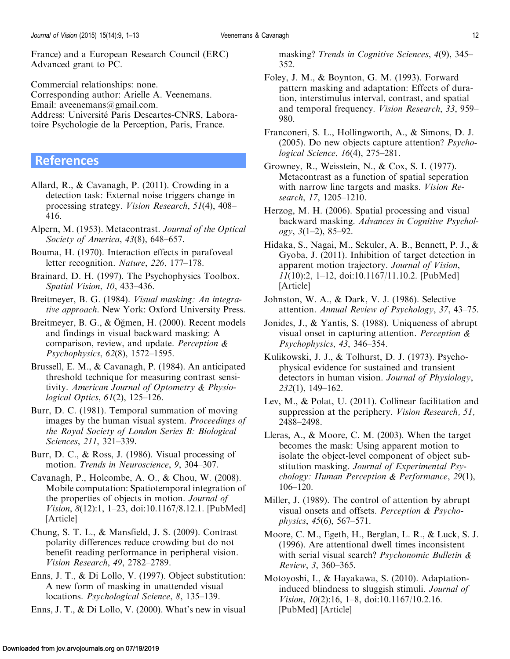<span id="page-12-0"></span>France) and a European Research Council (ERC) Advanced grant to PC.

Commercial relationships: none.

Corresponding author: Arielle A. Veenemans. Email: aveenemans@gmail.com. Address: Université Paris Descartes-CNRS, Laboratoire Psychologie de la Perception, Paris, France.

### References

- Allard, R., & Cavanagh, P. (2011). Crowding in a detection task: External noise triggers change in processing strategy. Vision Research, 51(4), 408– 416.
- Alpern, M. (1953). Metacontrast. Journal of the Optical Society of America, 43(8), 648–657.
- Bouma, H. (1970). Interaction effects in parafoveal letter recognition. Nature, 226, 177–178.
- Brainard, D. H. (1997). The Psychophysics Toolbox. Spatial Vision, 10, 433–436.
- Breitmeyer, B. G. (1984). Visual masking: An integrative approach. New York: Oxford University Press.
- Breitmeyer, B. G.,  $\&$  Öğmen, H. (2000). Recent models and findings in visual backward masking: A comparison, review, and update. Perception & Psychophysics, 62(8), 1572–1595.
- Brussell, E. M., & Cavanagh, P. (1984). An anticipated threshold technique for measuring contrast sensitivity. American Journal of Optometry & Physiological Optics, 61(2), 125–126.
- Burr, D. C. (1981). Temporal summation of moving images by the human visual system. Proceedings of the Royal Society of London Series B: Biological Sciences, 211, 321–339.
- Burr, D. C., & Ross, J. (1986). Visual processing of motion. *Trends in Neuroscience*, 9, 304–307.
- Cavanagh, P., Holcombe, A. O., & Chou, W. (2008). Mobile computation: Spatiotemporal integration of the properties of objects in motion. Journal of Vision, 8(12):1, 1–23, doi:10.1167/8.12.1. [[PubMed](http://www.ncbi.nlm.nih.gov/pubmed/18831615)] [[Article\]](http://jov.arvojournals.org/article.aspx?articleid=2193052)
- Chung, S. T. L., & Mansfield, J. S. (2009). Contrast polarity differences reduce crowding but do not benefit reading performance in peripheral vision. Vision Research, 49, 2782–2789.

Enns, J. T., & Di Lollo, V. (1997). Object substitution: A new form of masking in unattended visual locations. Psychological Science, 8, 135–139.

Enns, J. T., & Di Lollo, V. (2000). What's new in visual

masking? Trends in Cognitive Sciences, 4(9), 345– 352.

- Foley, J. M., & Boynton, G. M. (1993). Forward pattern masking and adaptation: Effects of duration, interstimulus interval, contrast, and spatial and temporal frequency. Vision Research, 33, 959– 980.
- Franconeri, S. L., Hollingworth, A., & Simons, D. J. (2005). Do new objects capture attention? Psychological Science, 16(4), 275–281.
- Growney, R., Weisstein, N., & Cox, S. I. (1977). Metacontrast as a function of spatial seperation with narrow line targets and masks. Vision Research, 17, 1205–1210.
- Herzog, M. H. (2006). Spatial processing and visual backward masking. Advances in Cognitive Psychol- $\log y$ , 3(1–2), 85–92.
- Hidaka, S., Nagai, M., Sekuler, A. B., Bennett, P. J., & Gyoba, J. (2011). Inhibition of target detection in apparent motion trajectory. Journal of Vision, 11(10):2, 1–12, doi:10.1167/11.10.2. [[PubMed](http://www.ncbi.nlm.nih.gov/pubmed/21900370)] [[Article\]](http://jov.arvojournals.org/article.aspx?articleid=2121100)
- Johnston, W. A., & Dark, V. J. (1986). Selective attention. Annual Review of Psychology, 37, 43–75.
- Jonides, J., & Yantis, S. (1988). Uniqueness of abrupt visual onset in capturing attention. Perception & Psychophysics, 43, 346–354.
- Kulikowski, J. J., & Tolhurst, D. J. (1973). Psychophysical evidence for sustained and transient detectors in human vision. Journal of Physiology, 232(1), 149–162.
- Lev, M., & Polat, U. (2011). Collinear facilitation and suppression at the periphery. *Vision Research*, 51, 2488–2498.
- Lleras, A., & Moore, C. M. (2003). When the target becomes the mask: Using apparent motion to isolate the object-level component of object substitution masking. Journal of Experimental Psychology: Human Perception & Performance, 29(1), 106–120.
- Miller, J. (1989). The control of attention by abrupt visual onsets and offsets. Perception & Psychophysics, 45(6), 567–571.
- Moore, C. M., Egeth, H., Berglan, L. R., & Luck, S. J. (1996). Are attentional dwell times inconsistent with serial visual search? *Psychonomic Bulletin &* Review, 3, 360–365.

Motoyoshi, I., & Hayakawa, S. (2010). Adaptationinduced blindness to sluggish stimuli. Journal of *Vision, 10*(2):16, 1–8, doi:10.1167/10.2.16. [[PubMed](http://www.ncbi.nlm.nih.gov/pubmed/20462317)] [[Article\]](http://jov.arvojournals.org/article.aspx?articleid=2121085)